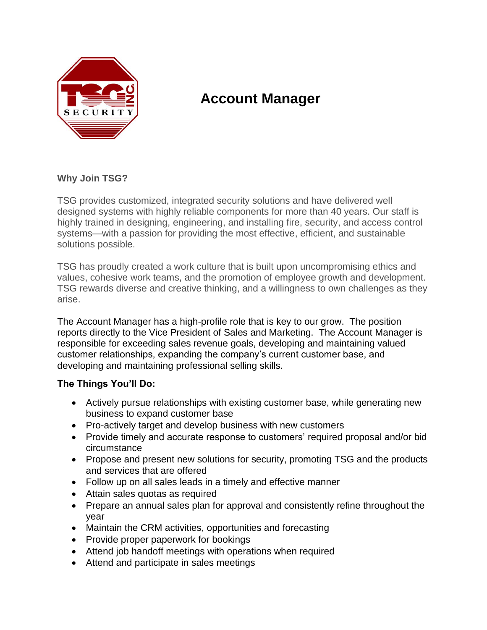

# **Account Manager**

## **Why Join TSG?**

TSG provides customized, integrated security solutions and have delivered well designed systems with highly reliable components for more than 40 years. Our staff is highly trained in designing, engineering, and installing fire, security, and access control systems—with a passion for providing the most effective, efficient, and sustainable solutions possible.

TSG has proudly created a work culture that is built upon uncompromising ethics and values, cohesive work teams, and the promotion of employee growth and development. TSG rewards diverse and creative thinking, and a willingness to own challenges as they arise.

The Account Manager has a high-profile role that is key to our grow. The position reports directly to the Vice President of Sales and Marketing. The Account Manager is responsible for exceeding sales revenue goals, developing and maintaining valued customer relationships, expanding the company's current customer base, and developing and maintaining professional selling skills.

## **The Things You'll Do:**

- Actively pursue relationships with existing customer base, while generating new business to expand customer base
- Pro-actively target and develop business with new customers
- Provide timely and accurate response to customers' required proposal and/or bid circumstance
- Propose and present new solutions for security, promoting TSG and the products and services that are offered
- Follow up on all sales leads in a timely and effective manner
- Attain sales quotas as required
- Prepare an annual sales plan for approval and consistently refine throughout the year
- Maintain the CRM activities, opportunities and forecasting
- Provide proper paperwork for bookings
- Attend job handoff meetings with operations when required
- Attend and participate in sales meetings